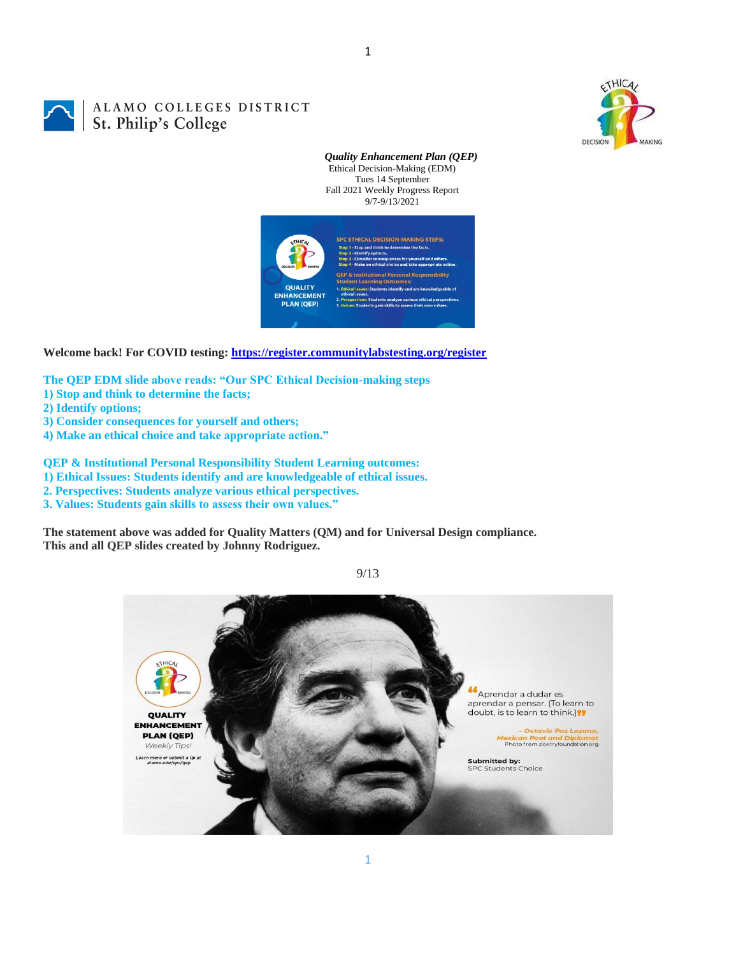

ALAMO COLLEGES DISTRICT St. Philip's College

*Quality Enhancement Plan (QEP)* Ethical Decision-Making (EDM) Tues 14 September Fall 2021 Weekly Progress Report 9/7-9/13/2021



1

**Welcome back! For COVID testing:<https://register.communitylabstesting.org/register>**

**The QEP EDM slide above reads: "Our SPC Ethical Decision-making steps** 

- **1) Stop and think to determine the facts;**
- **2) Identify options;**
- **3) Consider consequences for yourself and others;**
- **4) Make an ethical choice and take appropriate action."**

**QEP & Institutional Personal Responsibility Student Learning outcomes:** 

**1) Ethical Issues: Students identify and are knowledgeable of ethical issues.** 

- **2. Perspectives: Students analyze various ethical perspectives.**
- **3. Values: Students gain skills to assess their own values."**

**The statement above was added for Quality Matters (QM) and for Universal Design compliance. This and all QEP slides created by Johnny Rodriguez.**



9/13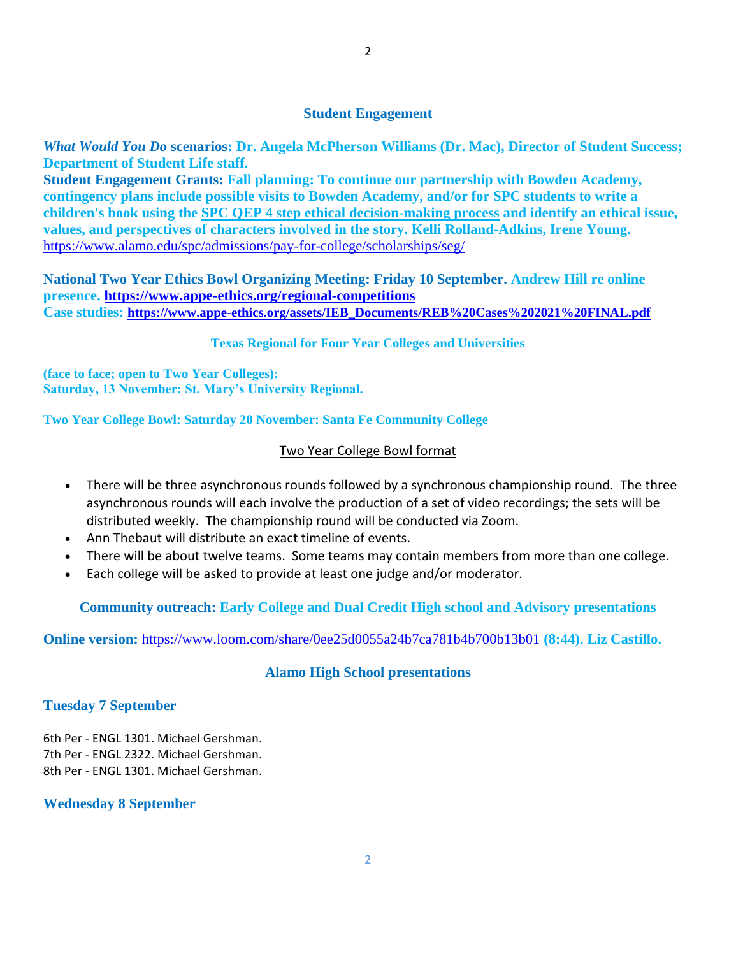*What Would You Do* **scenarios: Dr. Angela McPherson Williams (Dr. Mac), Director of Student Success; Department of Student Life staff.**

**Student Engagement Grants: Fall planning: To continue our partnership with Bowden Academy, contingency plans include possible visits to Bowden Academy, and/or for SPC students to write a children's book using the [SPC QEP 4 step ethical decision-making process](https://mail.alamo.edu/owa/redir.aspx?REF=QPGGgOE-3HbbrbCAzqBFQWbtY3e2Gc0f0qSFld99-4hqZWSPr8DYCAFodHRwczovL3d3dy5hbGFtby5lZHUvbGluay8zYjg5NjQxMTY3MGY0YTZlYjU2MzNkNGFmNjE1OTBjNC5hc3B4) and identify an ethical issue, values, and perspectives of characters involved in the story. Kelli Rolland-Adkins, Irene Young.** <https://www.alamo.edu/spc/admissions/pay-for-college/scholarships/seg/>

**National Two Year Ethics Bowl Organizing Meeting: Friday 10 September. Andrew Hill re online presence. <https://www.appe-ethics.org/regional-competitions> Case studies: [https://www.appe-ethics.org/assets/IEB\\_Documents/REB%20Cases%202021%20FINAL.pdf](https://www.appe-ethics.org/assets/IEB_Documents/REB%20Cases%202021%20FINAL.pdf)**

## **Texas Regional for Four Year Colleges and Universities**

**(face to face; open to Two Year Colleges): Saturday, 13 November: St. Mary's University Regional.**

**Two Year College Bowl: Saturday 20 November: Santa Fe Community College**

## Two Year College Bowl format

- There will be three asynchronous rounds followed by a synchronous championship round. The three asynchronous rounds will each involve the production of a set of video recordings; the sets will be distributed weekly. The championship round will be conducted via Zoom.
- Ann Thebaut will distribute an exact timeline of events.
- There will be about twelve teams. Some teams may contain members from more than one college.
- Each college will be asked to provide at least one judge and/or moderator.

**Community outreach: Early College and Dual Credit High school and Advisory presentations**

### **Online version:** <https://www.loom.com/share/0ee25d0055a24b7ca781b4b700b13b01> **(8:44). Liz Castillo.**

# **Alamo High School presentations**

### **Tuesday 7 September**

6th Per - ENGL 1301. Michael Gershman. 7th Per - ENGL 2322. Michael Gershman. 8th Per - ENGL 1301. Michael Gershman.

#### **Wednesday 8 September**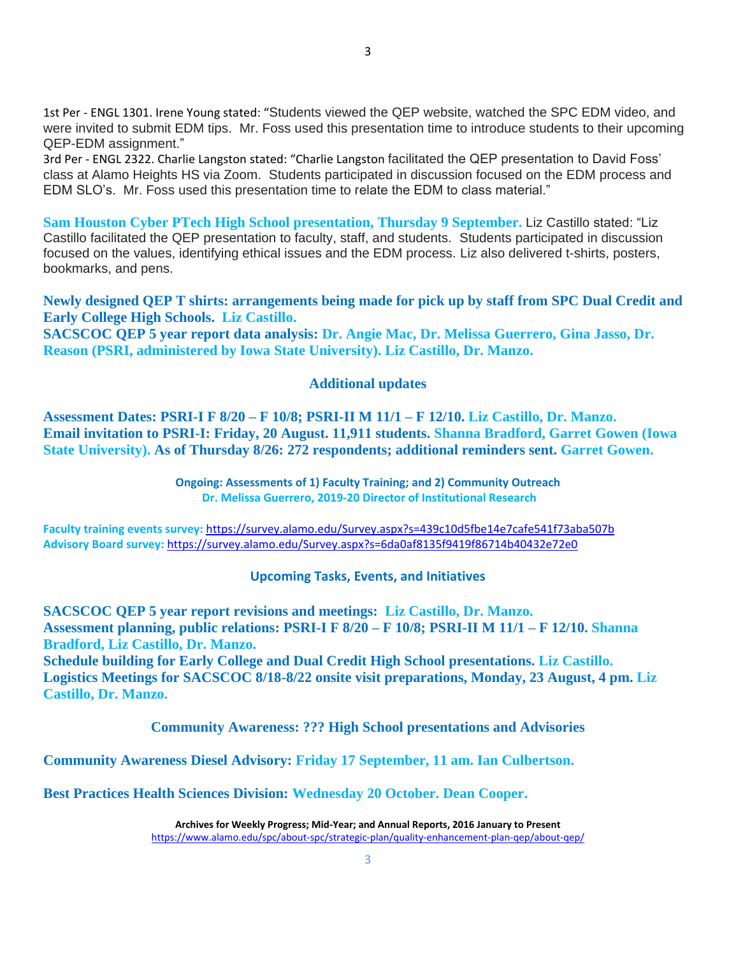1st Per - ENGL 1301. Irene Young stated: "Students viewed the QEP website, watched the SPC EDM video, and were invited to submit EDM tips. Mr. Foss used this presentation time to introduce students to their upcoming QEP-EDM assignment."

3rd Per - ENGL 2322. Charlie Langston stated: "Charlie Langston facilitated the QEP presentation to David Foss' class at Alamo Heights HS via Zoom. Students participated in discussion focused on the EDM process and EDM SLO's. Mr. Foss used this presentation time to relate the EDM to class material."

**Sam Houston Cyber PTech High School presentation, Thursday 9 September.** Liz Castillo stated: "Liz Castillo facilitated the QEP presentation to faculty, staff, and students. Students participated in discussion focused on the values, identifying ethical issues and the EDM process. Liz also delivered t-shirts, posters, bookmarks, and pens.

**Newly designed QEP T shirts: arrangements being made for pick up by staff from SPC Dual Credit and Early College High Schools. Liz Castillo.**

**SACSCOC QEP 5 year report data analysis: Dr. Angie Mac, Dr. Melissa Guerrero, Gina Jasso, Dr. Reason (PSRI, administered by Iowa State University). Liz Castillo, Dr. Manzo.**

#### **Additional updates**

**Assessment Dates: PSRI-I F 8/20 – F 10/8; PSRI-II M 11/1 – F 12/10. Liz Castillo, Dr. Manzo. Email invitation to PSRI-I: Friday, 20 August. 11,911 students. Shanna Bradford, Garret Gowen (Iowa State University). As of Thursday 8/26: 272 respondents; additional reminders sent. Garret Gowen.**

> **Ongoing: Assessments of 1) Faculty Training; and 2) Community Outreach Dr. Melissa Guerrero, 2019-20 Director of Institutional Research**

**Faculty training events survey:** <https://survey.alamo.edu/Survey.aspx?s=439c10d5fbe14e7cafe541f73aba507b> **Advisory Board survey:** [https://survey.alamo.edu/Survey.aspx?s=6da0af8135f9419f86714b40432e72e0](https://mail.alamo.edu/owa/redir.aspx?C=ltSuwFrmmhFPV6kAmiCFHriyLNGIl0PeNuaCUMi1FWtl6dwQ6ubXCA..&URL=https%3a%2f%2fsurvey.alamo.edu%2fSurvey.aspx%3fs%3d6da0af8135f9419f86714b40432e72e0)

#### **Upcoming Tasks, Events, and Initiatives**

**SACSCOC QEP 5 year report revisions and meetings: Liz Castillo, Dr. Manzo. Assessment planning, public relations: PSRI-I F 8/20 – F 10/8; PSRI-II M 11/1 – F 12/10. Shanna Bradford, Liz Castillo, Dr. Manzo.**

**Schedule building for Early College and Dual Credit High School presentations. Liz Castillo. Logistics Meetings for SACSCOC 8/18-8/22 onsite visit preparations, Monday, 23 August, 4 pm. Liz Castillo, Dr. Manzo.**

**Community Awareness: ??? High School presentations and Advisories**

**Community Awareness Diesel Advisory: Friday 17 September, 11 am. Ian Culbertson.**

**Best Practices Health Sciences Division: Wednesday 20 October. Dean Cooper.**

**Archives for Weekly Progress; Mid-Year; and Annual Reports, 2016 January to Present** <https://www.alamo.edu/spc/about-spc/strategic-plan/quality-enhancement-plan-qep/about-qep/>